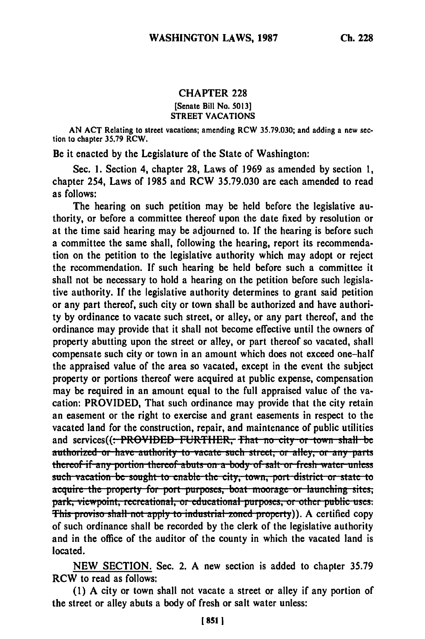## CHAPTER **228** [Senate Bill No. 5013] STREET VACATIONS

**AN ACT** Relating to street vacations; amending RCW 35.79.030; and adding a new section to chapter 35.79 RCW.

Be it enacted by the Legislature of the State of Washington:

Sec. 1. Section 4, chapter **28,** Laws of 1969 as amended by section **1,** chapter 254, Laws of **1985** and RCW 35.79.030 are each amended to read as follows:

The hearing on such petition may be held before the legislative authority, or before a committee thereof upon the date fixed **by** resolution or at the time said hearing may be adjourned to. If the hearing is before such a committee the same shall, following the hearing, report its recommendation on the petition to the legislative authority which may adopt or reject the recommendation. If such hearing be held before such a committee it shall not be necessary to hold a hearing on the petition before such legislative authority. If the legislative authority determines to grant said petition or any part thereof, such city or town shall be authorized and have authority by ordinance to vacate such street, or alley, or any part thereof, and the ordinance may provide that it shall not become effective until the owners of property abutting upon the street or alley, or part thereof so vacated, shall compensate such city or town in an amount which does not exceed one-half the appraised value of the area so vacated, except in the event the subject property or portions thereof were acquired at public expense, compensation may be required in an amount equal to the full appraised value of the vacation: PROVIDED, That such ordinance may provide that the city retain an easement or the right to exercise and grant easements in respect to the vacated land for the construction, repair, and maintenance of public utilities and services((: PROVIDED FURTHER, That no city or town shall be **zuthorized or have authority to vacate such street, or alley, or any parts** thereof if any portion thereof abuts on a body of salt or fresh water unless such vacation be sought to enable the city, town, port district or state to acquire the property for port purposes, boat moorage or launching sites, park, viewpoint, recreational, or educational purposes, or other public uses.<br>This proviso shall not apply to industrial zoned property)). A certified copy of such ordinance shall be recorded **by** the clerk of the legislative authority and in the office of the auditor of the county in which the vacated land is located.

**NEW SECTION.** Sec. 2. **A** new section is added to chapter **35.79** RCW to read as follows:

**(1) A** city or town shall not vacate a street or alley if any portion of the street or alley abuts a **body** of fresh or salt water unless: